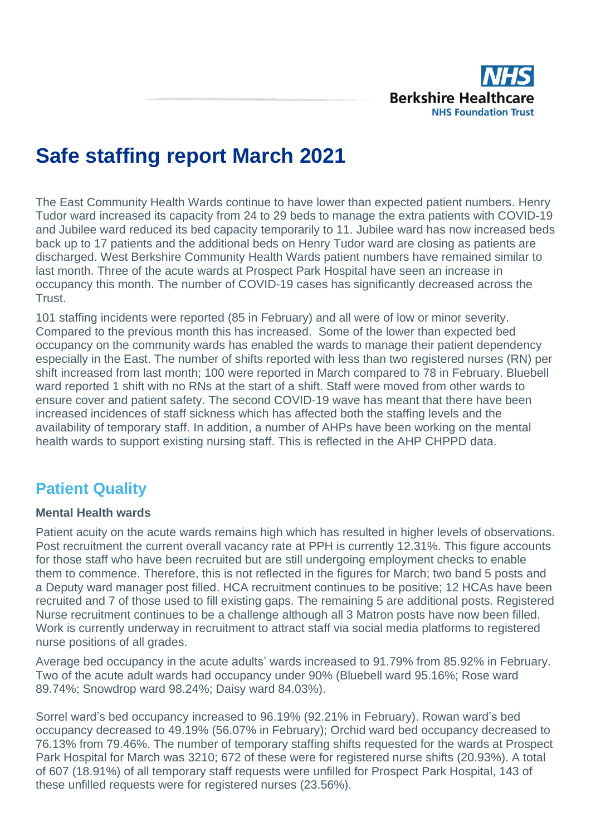

# **Safe staffing report March 2021**

The East Community Health Wards continue to have lower than expected patient numbers. Henry Tudor ward increased its capacity from 24 to 29 beds to manage the extra patients with COVID-19 and Jubilee ward reduced its bed capacity temporarily to 11. Jubilee ward has now increased beds back up to 17 patients and the additional beds on Henry Tudor ward are closing as patients are discharged. West Berkshire Community Health Wards patient numbers have remained similar to last month. Three of the acute wards at Prospect Park Hospital have seen an increase in occupancy this month. The number of COVID-19 cases has significantly decreased across the Trust.

101 staffing incidents were reported (85 in February) and all were of low or minor severity. Compared to the previous month this has increased. Some of the lower than expected bed occupancy on the community wards has enabled the wards to manage their patient dependency especially in the East. The number of shifts reported with less than two registered nurses (RN) per shift increased from last month; 100 were reported in March compared to 78 in February. Bluebell ward reported 1 shift with no RNs at the start of a shift. Staff were moved from other wards to ensure cover and patient safety. The second COVID-19 wave has meant that there have been increased incidences of staff sickness which has affected both the staffing levels and the availability of temporary staff. In addition, a number of AHPs have been working on the mental health wards to support existing nursing staff. This is reflected in the AHP CHPPD data.

# **Patient Quality**

### **Mental Health wards**

Patient acuity on the acute wards remains high which has resulted in higher levels of observations. Post recruitment the current overall vacancy rate at PPH is currently 12.31%. This figure accounts for those staff who have been recruited but are still undergoing employment checks to enable them to commence. Therefore, this is not reflected in the figures for March; two band 5 posts and a Deputy ward manager post filled. HCA recruitment continues to be positive; 12 HCAs have been recruited and 7 of those used to fill existing gaps. The remaining 5 are additional posts. Registered Nurse recruitment continues to be a challenge although all 3 Matron posts have now been filled. Work is currently underway in recruitment to attract staff via social media platforms to registered nurse positions of all grades.

Average bed occupancy in the acute adults' wards increased to 91.79% from 85.92% in February. Two of the acute adult wards had occupancy under 90% (Bluebell ward 95.16%; Rose ward 89.74%; Snowdrop ward 98.24%; Daisy ward 84.03%).

Sorrel ward's bed occupancy increased to 96.19% (92.21% in February). Rowan ward's bed occupancy decreased to 49.19% (56.07% in February); Orchid ward bed occupancy decreased to 76.13% from 79.46%. The number of temporary staffing shifts requested for the wards at Prospect Park Hospital for March was 3210; 672 of these were for registered nurse shifts (20.93%). A total of 607 (18.91%) of all temporary staff requests were unfilled for Prospect Park Hospital, 143 of these unfilled requests were for registered nurses (23.56%).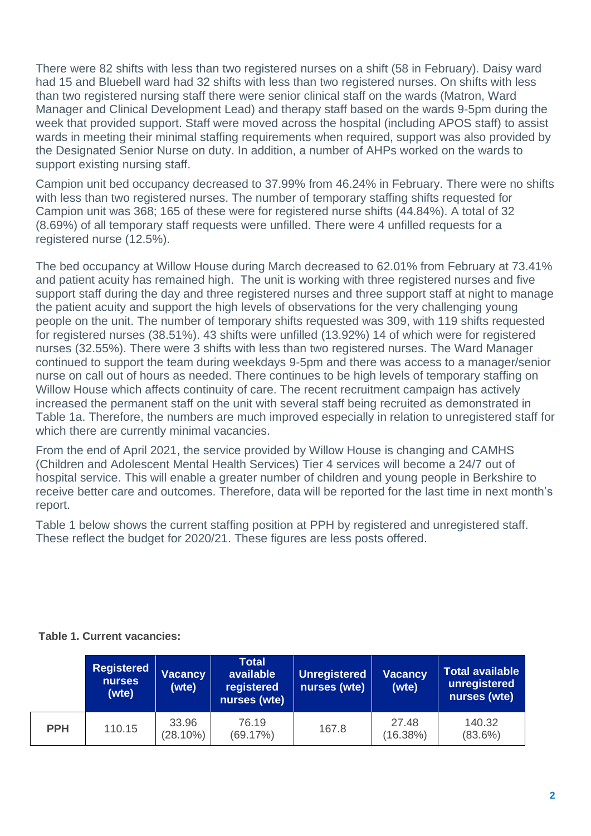There were 82 shifts with less than two registered nurses on a shift (58 in February). Daisy ward had 15 and Bluebell ward had 32 shifts with less than two registered nurses. On shifts with less than two registered nursing staff there were senior clinical staff on the wards (Matron, Ward Manager and Clinical Development Lead) and therapy staff based on the wards 9-5pm during the week that provided support. Staff were moved across the hospital (including APOS staff) to assist wards in meeting their minimal staffing requirements when required, support was also provided by the Designated Senior Nurse on duty. In addition, a number of AHPs worked on the wards to support existing nursing staff.

Campion unit bed occupancy decreased to 37.99% from 46.24% in February. There were no shifts with less than two registered nurses. The number of temporary staffing shifts requested for Campion unit was 368; 165 of these were for registered nurse shifts (44.84%). A total of 32 (8.69%) of all temporary staff requests were unfilled. There were 4 unfilled requests for a registered nurse (12.5%).

The bed occupancy at Willow House during March decreased to 62.01% from February at 73.41% and patient acuity has remained high. The unit is working with three registered nurses and five support staff during the day and three registered nurses and three support staff at night to manage the patient acuity and support the high levels of observations for the very challenging young people on the unit. The number of temporary shifts requested was 309, with 119 shifts requested for registered nurses (38.51%). 43 shifts were unfilled (13.92%) 14 of which were for registered nurses (32.55%). There were 3 shifts with less than two registered nurses. The Ward Manager continued to support the team during weekdays 9-5pm and there was access to a manager/senior nurse on call out of hours as needed. There continues to be high levels of temporary staffing on Willow House which affects continuity of care. The recent recruitment campaign has actively increased the permanent staff on the unit with several staff being recruited as demonstrated in Table 1a. Therefore, the numbers are much improved especially in relation to unregistered staff for which there are currently minimal vacancies.

From the end of April 2021, the service provided by Willow House is changing and CAMHS (Children and Adolescent Mental Health Services) Tier 4 services will become a 24/7 out of hospital service. This will enable a greater number of children and young people in Berkshire to receive better care and outcomes. Therefore, data will be reported for the last time in next month's report.

Table 1 below shows the current staffing position at PPH by registered and unregistered staff. These reflect the budget for 2020/21. These figures are less posts offered.

### **Table 1. Current vacancies:**

|            | <b>Registered</b><br><b>Vacancy</b><br><b>nurses</b><br>(wte)<br>(wte) |                      | <b>Total</b><br>available<br>registered<br>nurses (wte) | Unregistered<br>nurses (wte) | <b>Vacancy</b><br>(wte) | Total available<br>unregistered<br>nurses (wte) |  |  |
|------------|------------------------------------------------------------------------|----------------------|---------------------------------------------------------|------------------------------|-------------------------|-------------------------------------------------|--|--|
| <b>PPH</b> | 110.15                                                                 | 33.96<br>$(28.10\%)$ | 76.19<br>(69.17%)                                       | 167.8                        | 27.48<br>(16.38%)       | 140.32<br>$(83.6\%)$                            |  |  |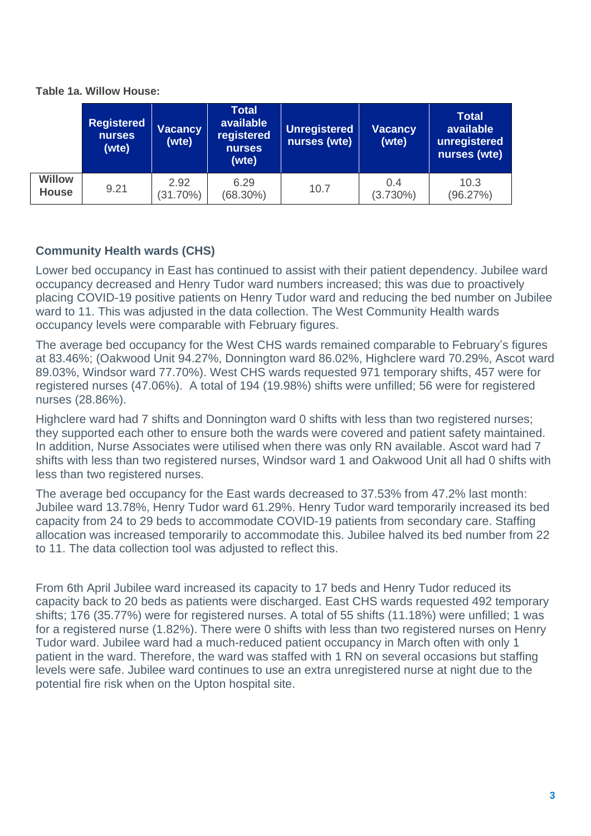|                               | <b>Registered</b><br>nurses<br>(wte) | <b>Total</b><br>available<br><b>Vacancy</b><br>registered<br>(wte)<br>nurses<br>(wte)<br>2.92 |                     | <b>Unregistered</b><br>nurses (wte) | <b>Vacancy</b><br>(wte) | <b>Total</b><br>available<br>unregistered<br>nurses (wte) |  |
|-------------------------------|--------------------------------------|-----------------------------------------------------------------------------------------------|---------------------|-------------------------------------|-------------------------|-----------------------------------------------------------|--|
| <b>Willow</b><br><b>House</b> | 9.21                                 | $(31.70\%)$                                                                                   | 6.29<br>$(68.30\%)$ | 10.7                                | 0.4<br>$(3.730\%)$      | 10.3<br>(96.27%)                                          |  |

### **Table 1a. Willow House:**

# **Community Health wards (CHS)**

Lower bed occupancy in East has continued to assist with their patient dependency. Jubilee ward occupancy decreased and Henry Tudor ward numbers increased; this was due to proactively placing COVID-19 positive patients on Henry Tudor ward and reducing the bed number on Jubilee ward to 11. This was adjusted in the data collection. The West Community Health wards occupancy levels were comparable with February figures.

The average bed occupancy for the West CHS wards remained comparable to February's figures at 83.46%; (Oakwood Unit 94.27%, Donnington ward 86.02%, Highclere ward 70.29%, Ascot ward 89.03%, Windsor ward 77.70%). West CHS wards requested 971 temporary shifts, 457 were for registered nurses (47.06%). A total of 194 (19.98%) shifts were unfilled; 56 were for registered nurses (28.86%).

Highclere ward had 7 shifts and Donnington ward 0 shifts with less than two registered nurses; they supported each other to ensure both the wards were covered and patient safety maintained. In addition, Nurse Associates were utilised when there was only RN available. Ascot ward had 7 shifts with less than two registered nurses, Windsor ward 1 and Oakwood Unit all had 0 shifts with less than two registered nurses.

The average bed occupancy for the East wards decreased to 37.53% from 47.2% last month: Jubilee ward 13.78%, Henry Tudor ward 61.29%. Henry Tudor ward temporarily increased its bed capacity from 24 to 29 beds to accommodate COVID-19 patients from secondary care. Staffing allocation was increased temporarily to accommodate this. Jubilee halved its bed number from 22 to 11. The data collection tool was adjusted to reflect this.

From 6th April Jubilee ward increased its capacity to 17 beds and Henry Tudor reduced its capacity back to 20 beds as patients were discharged. East CHS wards requested 492 temporary shifts; 176 (35.77%) were for registered nurses. A total of 55 shifts (11.18%) were unfilled; 1 was for a registered nurse (1.82%). There were 0 shifts with less than two registered nurses on Henry Tudor ward. Jubilee ward had a much-reduced patient occupancy in March often with only 1 patient in the ward. Therefore, the ward was staffed with 1 RN on several occasions but staffing levels were safe. Jubilee ward continues to use an extra unregistered nurse at night due to the potential fire risk when on the Upton hospital site.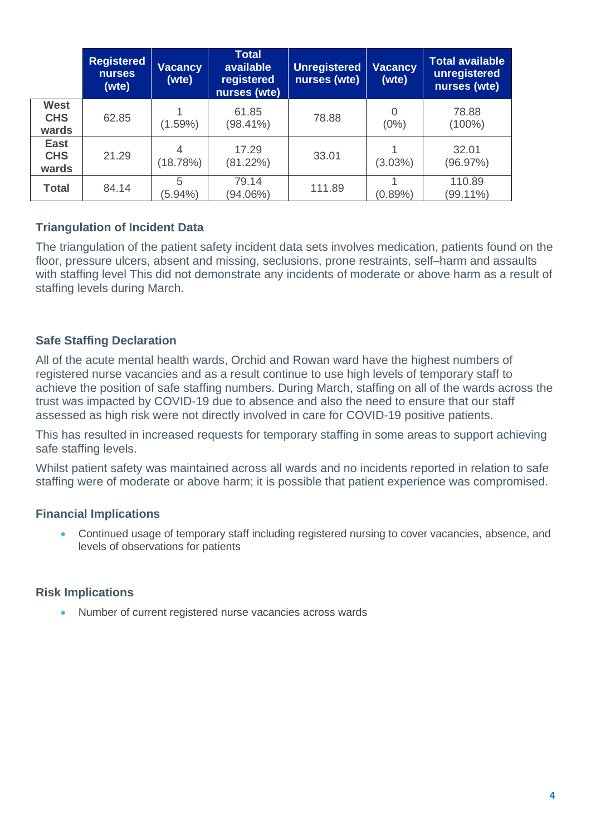|                                    | <b>Registered</b><br><b>nurses</b><br>(wte) | <b>Vacancy</b><br>(wte) | <b>Total</b><br>available<br>registered<br>nurses (wte) | <b>Unregistered</b><br>nurses (wte) | <b>Vacancy</b><br>(wte) | <b>Total available</b><br>unregistered<br>nurses (wte) |
|------------------------------------|---------------------------------------------|-------------------------|---------------------------------------------------------|-------------------------------------|-------------------------|--------------------------------------------------------|
| <b>West</b><br><b>CHS</b><br>wards | 62.85                                       | $(1.59\%)$              | 61.85<br>$(98.41\%)$                                    | 78.88                               | $\Omega$<br>$(0\%)$     | 78.88<br>$(100\%)$                                     |
| <b>East</b><br><b>CHS</b><br>wards | 21.29                                       | 4<br>(18.78%)           | 17.29<br>(81.22%)                                       | 33.01                               | $(3.03\%)$              | 32.01<br>(96.97%)                                      |
| <b>Total</b>                       | 84.14                                       | 5<br>$(5.94\%)$         | 79.14<br>(94.06%)                                       | 111.89                              | $(0.89\%)$              | 110.89<br>$(99.11\%)$                                  |

# **Triangulation of Incident Data**

The triangulation of the patient safety incident data sets involves medication, patients found on the floor, pressure ulcers, absent and missing, seclusions, prone restraints, self–harm and assaults with staffing level This did not demonstrate any incidents of moderate or above harm as a result of staffing levels during March.

## **Safe Staffing Declaration**

All of the acute mental health wards, Orchid and Rowan ward have the highest numbers of registered nurse vacancies and as a result continue to use high levels of temporary staff to achieve the position of safe staffing numbers. During March, staffing on all of the wards across the trust was impacted by COVID-19 due to absence and also the need to ensure that our staff assessed as high risk were not directly involved in care for COVID-19 positive patients.

This has resulted in increased requests for temporary staffing in some areas to support achieving safe staffing levels.

Whilst patient safety was maintained across all wards and no incidents reported in relation to safe staffing were of moderate or above harm; it is possible that patient experience was compromised.

### **Financial Implications**

• Continued usage of temporary staff including registered nursing to cover vacancies, absence, and levels of observations for patients

### **Risk Implications**

• Number of current registered nurse vacancies across wards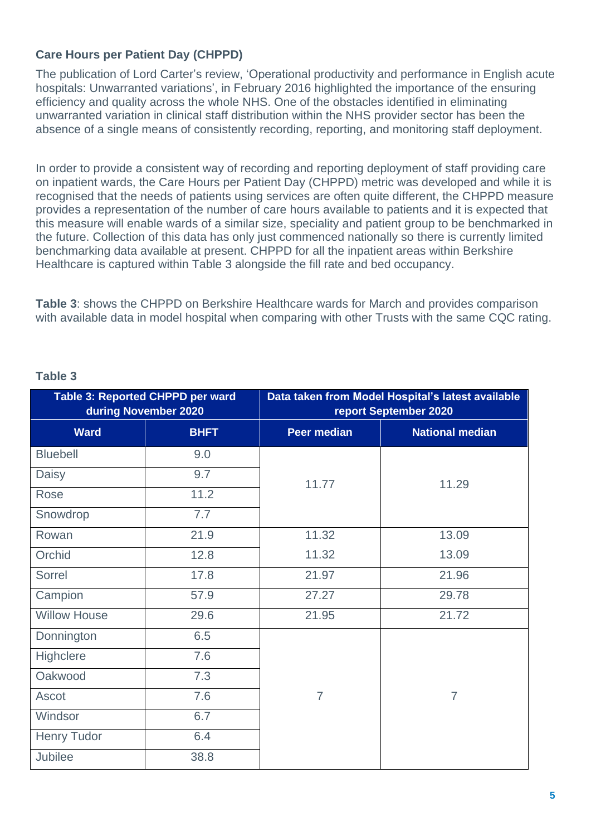# **Care Hours per Patient Day (CHPPD)**

The publication of Lord Carter's review, 'Operational productivity and performance in English acute hospitals: Unwarranted variations', in February 2016 highlighted the importance of the ensuring efficiency and quality across the whole NHS. One of the obstacles identified in eliminating unwarranted variation in clinical staff distribution within the NHS provider sector has been the absence of a single means of consistently recording, reporting, and monitoring staff deployment.

In order to provide a consistent way of recording and reporting deployment of staff providing care on inpatient wards, the Care Hours per Patient Day (CHPPD) metric was developed and while it is recognised that the needs of patients using services are often quite different, the CHPPD measure provides a representation of the number of care hours available to patients and it is expected that this measure will enable wards of a similar size, speciality and patient group to be benchmarked in the future. Collection of this data has only just commenced nationally so there is currently limited benchmarking data available at present. CHPPD for all the inpatient areas within Berkshire Healthcare is captured within Table 3 alongside the fill rate and bed occupancy.

**Table 3**: shows the CHPPD on Berkshire Healthcare wards for March and provides comparison with available data in model hospital when comparing with other Trusts with the same CQC rating.

|                     | Table 3: Reported CHPPD per ward<br>during November 2020 |                    | Data taken from Model Hospital's latest available<br>report September 2020 |
|---------------------|----------------------------------------------------------|--------------------|----------------------------------------------------------------------------|
| <b>Ward</b>         | <b>BHFT</b>                                              | <b>Peer median</b> | <b>National median</b>                                                     |
| <b>Bluebell</b>     | 9.0                                                      |                    |                                                                            |
| Daisy               | 9.7                                                      | 11.77              | 11.29                                                                      |
| Rose                | 11.2                                                     |                    |                                                                            |
| Snowdrop            | 7.7                                                      |                    |                                                                            |
| Rowan               | 21.9                                                     | 11.32              | 13.09                                                                      |
| Orchid              | 12.8                                                     | 11.32              | 13.09                                                                      |
| Sorrel              | 17.8                                                     | 21.97              | 21.96                                                                      |
| Campion             | 57.9                                                     | 27.27              | 29.78                                                                      |
| <b>Willow House</b> | 29.6                                                     | 21.95              | 21.72                                                                      |
| Donnington          | 6.5                                                      |                    |                                                                            |
| Highclere           | 7.6                                                      |                    |                                                                            |
| Oakwood             | 7.3                                                      |                    |                                                                            |
| Ascot               | 7.6                                                      | $\overline{7}$     | $\overline{7}$                                                             |
| Windsor             | 6.7                                                      |                    |                                                                            |
| <b>Henry Tudor</b>  | 6.4                                                      |                    |                                                                            |
| Jubilee             | 38.8                                                     |                    |                                                                            |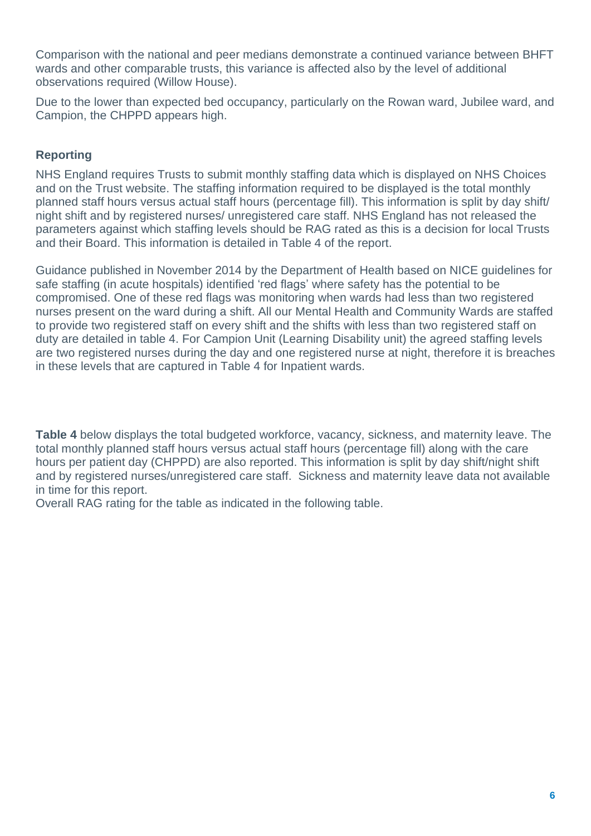Comparison with the national and peer medians demonstrate a continued variance between BHFT wards and other comparable trusts, this variance is affected also by the level of additional observations required (Willow House).

Due to the lower than expected bed occupancy, particularly on the Rowan ward, Jubilee ward, and Campion, the CHPPD appears high.

# **Reporting**

NHS England requires Trusts to submit monthly staffing data which is displayed on NHS Choices and on the Trust website. The staffing information required to be displayed is the total monthly planned staff hours versus actual staff hours (percentage fill). This information is split by day shift/ night shift and by registered nurses/ unregistered care staff. NHS England has not released the parameters against which staffing levels should be RAG rated as this is a decision for local Trusts and their Board. This information is detailed in Table 4 of the report.

Guidance published in November 2014 by the Department of Health based on NICE guidelines for safe staffing (in acute hospitals) identified 'red flags' where safety has the potential to be compromised. One of these red flags was monitoring when wards had less than two registered nurses present on the ward during a shift. All our Mental Health and Community Wards are staffed to provide two registered staff on every shift and the shifts with less than two registered staff on duty are detailed in table 4. For Campion Unit (Learning Disability unit) the agreed staffing levels are two registered nurses during the day and one registered nurse at night, therefore it is breaches in these levels that are captured in Table 4 for Inpatient wards.

**Table 4** below displays the total budgeted workforce, vacancy, sickness, and maternity leave. The total monthly planned staff hours versus actual staff hours (percentage fill) along with the care hours per patient day (CHPPD) are also reported. This information is split by day shift/night shift and by registered nurses/unregistered care staff. Sickness and maternity leave data not available in time for this report.

Overall RAG rating for the table as indicated in the following table.